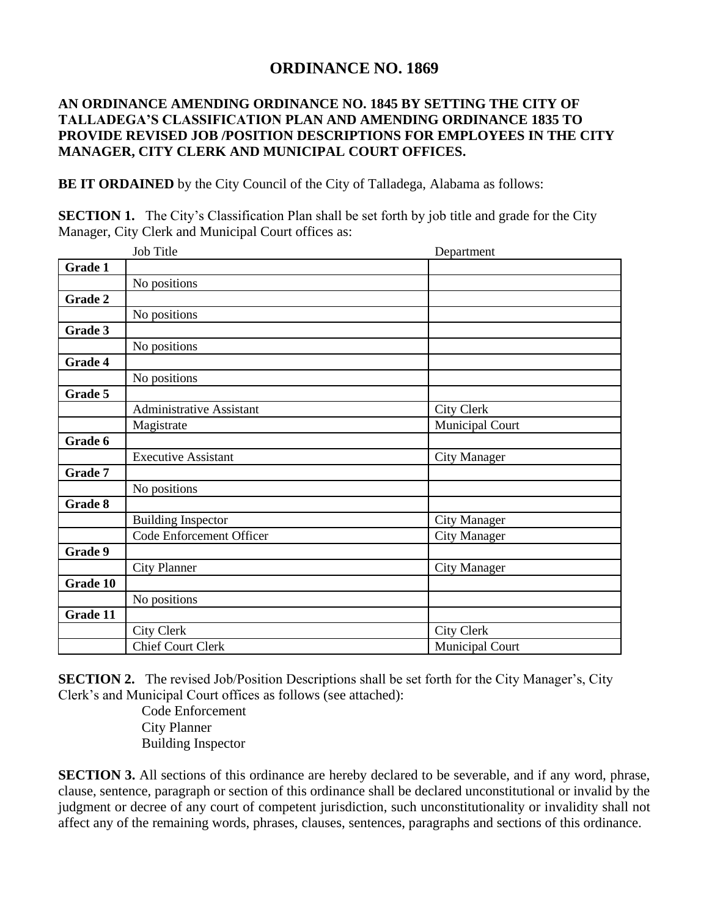## **ORDINANCE NO. 1869**

## **AN ORDINANCE AMENDING ORDINANCE NO. 1845 BY SETTING THE CITY OF TALLADEGA'S CLASSIFICATION PLAN AND AMENDING ORDINANCE 1835 TO PROVIDE REVISED JOB /POSITION DESCRIPTIONS FOR EMPLOYEES IN THE CITY MANAGER, CITY CLERK AND MUNICIPAL COURT OFFICES.**

**BE IT ORDAINED** by the City Council of the City of Talladega, Alabama as follows:

**SECTION 1.** The City's Classification Plan shall be set forth by job title and grade for the City Manager, City Clerk and Municipal Court offices as:

|          | Job Title                  | Department          |
|----------|----------------------------|---------------------|
| Grade 1  |                            |                     |
|          | No positions               |                     |
| Grade 2  |                            |                     |
|          | No positions               |                     |
| Grade 3  |                            |                     |
|          | No positions               |                     |
| Grade 4  |                            |                     |
|          | No positions               |                     |
| Grade 5  |                            |                     |
|          | Administrative Assistant   | <b>City Clerk</b>   |
|          | Magistrate                 | Municipal Court     |
| Grade 6  |                            |                     |
|          | <b>Executive Assistant</b> | City Manager        |
| Grade 7  |                            |                     |
|          | No positions               |                     |
| Grade 8  |                            |                     |
|          | <b>Building Inspector</b>  | <b>City Manager</b> |
|          | Code Enforcement Officer   | <b>City Manager</b> |
| Grade 9  |                            |                     |
|          | <b>City Planner</b>        | <b>City Manager</b> |
| Grade 10 |                            |                     |
|          | No positions               |                     |
| Grade 11 |                            |                     |
|          | <b>City Clerk</b>          | <b>City Clerk</b>   |
|          | <b>Chief Court Clerk</b>   | Municipal Court     |

**SECTION 2.** The revised Job/Position Descriptions shall be set forth for the City Manager's, City Clerk's and Municipal Court offices as follows (see attached):

> Code Enforcement City Planner Building Inspector

**SECTION 3.** All sections of this ordinance are hereby declared to be severable, and if any word, phrase, clause, sentence, paragraph or section of this ordinance shall be declared unconstitutional or invalid by the judgment or decree of any court of competent jurisdiction, such unconstitutionality or invalidity shall not affect any of the remaining words, phrases, clauses, sentences, paragraphs and sections of this ordinance.